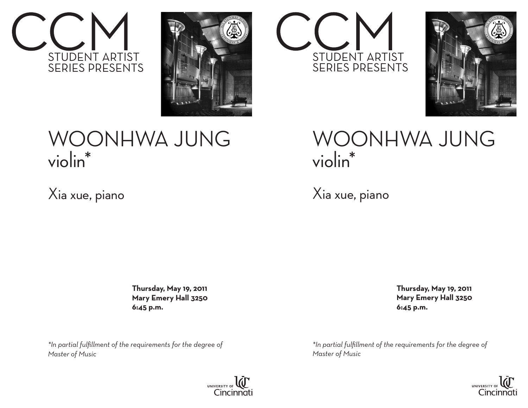



## WOONHWA JUNG violin\*

Xia xue, piano

 **Thursday, May 19, 2011 Mary Emery Hall 3250 6:45 p.m.**

*\*In partial fulfillment of the requirements for the degree of Master of Music*